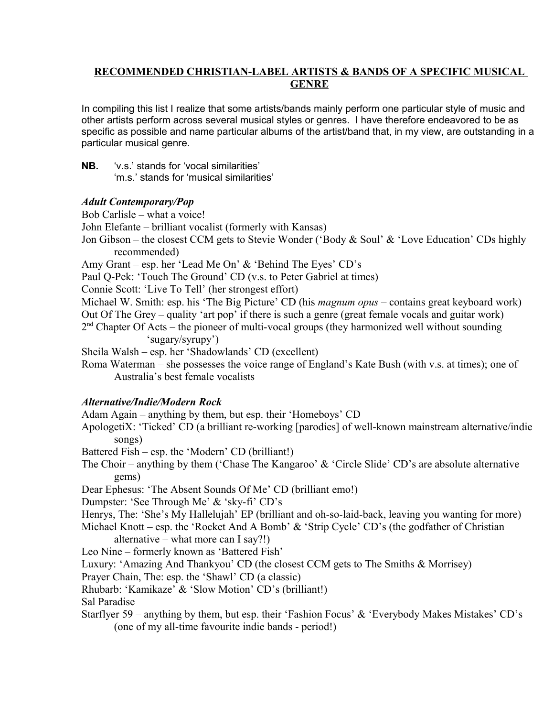### **RECOMMENDED CHRISTIAN-LABEL ARTISTS & BANDS OF A SPECIFIC MUSICAL GENRE**

In compiling this list I realize that some artists/bands mainly perform one particular style of music and other artists perform across several musical styles or genres. I have therefore endeavored to be as specific as possible and name particular albums of the artist/band that, in my view, are outstanding in a particular musical genre.

**NB.** 'v.s.' stands for 'vocal similarities' 'm.s.' stands for 'musical similarities'

### *Adult Contemporary/Pop*

Bob Carlisle – what a voice!

John Elefante – brilliant vocalist (formerly with Kansas)

Jon Gibson – the closest CCM gets to Stevie Wonder ('Body & Soul' & 'Love Education' CDs highly recommended)

Amy Grant – esp. her 'Lead Me On' & 'Behind The Eyes' CD's

Paul Q-Pek: 'Touch The Ground' CD (v.s. to Peter Gabriel at times)

Connie Scott: 'Live To Tell' (her strongest effort)

Michael W. Smith: esp. his 'The Big Picture' CD (his *magnum opus* – contains great keyboard work)

Out Of The Grey – quality 'art pop' if there is such a genre (great female vocals and guitar work)

 $2<sup>nd</sup>$  Chapter Of Acts – the pioneer of multi-vocal groups (they harmonized well without sounding 'sugary/syrupy')

Sheila Walsh – esp. her 'Shadowlands' CD (excellent)

Roma Waterman – she possesses the voice range of England's Kate Bush (with v.s. at times); one of Australia's best female vocalists

# *Alternative/Indie/Modern Rock*

Adam Again – anything by them, but esp. their 'Homeboys' CD

ApologetiX: 'Ticked' CD (a brilliant re-working [parodies] of well-known mainstream alternative/indie songs)

Battered Fish – esp. the 'Modern' CD (brilliant!)

The Choir – anything by them ('Chase The Kangaroo' & 'Circle Slide' CD's are absolute alternative gems)

Dear Ephesus: 'The Absent Sounds Of Me' CD (brilliant emo!)

Dumpster: 'See Through Me' & 'sky-fi' CD's

Henrys, The: 'She's My Hallelujah' EP (brilliant and oh-so-laid-back, leaving you wanting for more)

Michael Knott – esp. the 'Rocket And A Bomb' & 'Strip Cycle' CD's (the godfather of Christian alternative – what more can I say?!)

Leo Nine – formerly known as 'Battered Fish'

Luxury: 'Amazing And Thankyou' CD (the closest CCM gets to The Smiths & Morrisey)

Prayer Chain, The: esp. the 'Shawl' CD (a classic)

Rhubarb: 'Kamikaze' & 'Slow Motion' CD's (brilliant!)

Sal Paradise

Starflyer 59 – anything by them, but esp. their 'Fashion Focus' & 'Everybody Makes Mistakes' CD's (one of my all-time favourite indie bands - period!)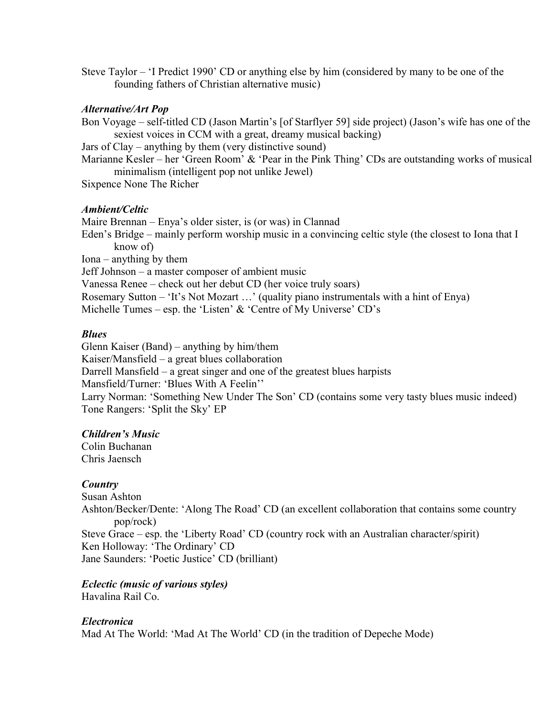Steve Taylor – 'I Predict 1990' CD or anything else by him (considered by many to be one of the founding fathers of Christian alternative music)

### *Alternative/Art Pop*

Bon Voyage – self-titled CD (Jason Martin's [of Starflyer 59] side project) (Jason's wife has one of the sexiest voices in CCM with a great, dreamy musical backing)

Jars of Clay – anything by them (very distinctive sound)

Marianne Kesler – her 'Green Room' & 'Pear in the Pink Thing' CDs are outstanding works of musical minimalism (intelligent pop not unlike Jewel)

Sixpence None The Richer

### *Ambient/Celtic*

Maire Brennan – Enya's older sister, is (or was) in Clannad Eden's Bridge – mainly perform worship music in a convincing celtic style (the closest to Iona that I know of) Iona – anything by them Jeff Johnson – a master composer of ambient music Vanessa Renee – check out her debut CD (her voice truly soars) Rosemary Sutton – 'It's Not Mozart …' (quality piano instrumentals with a hint of Enya) Michelle Tumes – esp. the 'Listen'  $\&$  'Centre of My Universe' CD's

### *Blues*

Glenn Kaiser (Band) – anything by him/them Kaiser/Mansfield – a great blues collaboration Darrell Mansfield – a great singer and one of the greatest blues harpists Mansfield/Turner: 'Blues With A Feelin'' Larry Norman: 'Something New Under The Son' CD (contains some very tasty blues music indeed) Tone Rangers: 'Split the Sky' EP

# *Children's Music*

Colin Buchanan Chris Jaensch

### *Country*

Susan Ashton Ashton/Becker/Dente: 'Along The Road' CD (an excellent collaboration that contains some country pop/rock) Steve Grace – esp. the 'Liberty Road' CD (country rock with an Australian character/spirit) Ken Holloway: 'The Ordinary' CD Jane Saunders: 'Poetic Justice' CD (brilliant)

# *Eclectic (music of various styles)*

Havalina Rail Co.

# *Electronica*

Mad At The World: 'Mad At The World' CD (in the tradition of Depeche Mode)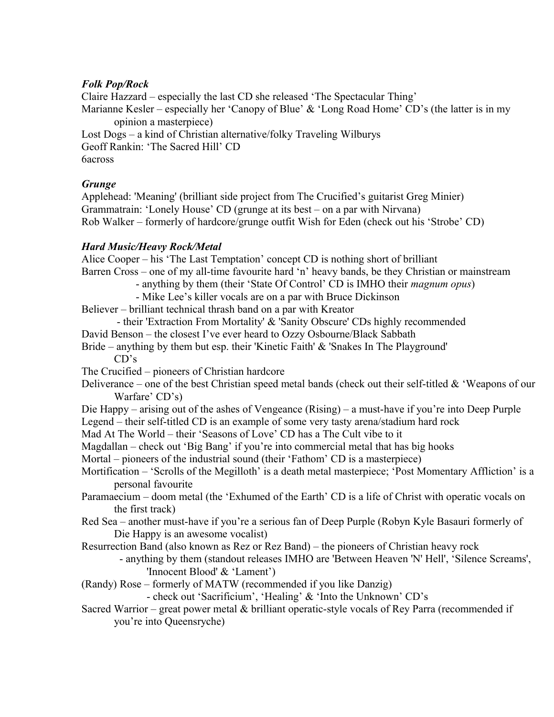# *Folk Pop/Rock*

Claire Hazzard – especially the last CD she released 'The Spectacular Thing' Marianne Kesler – especially her 'Canopy of Blue' & 'Long Road Home' CD's (the latter is in my opinion a masterpiece) Lost Dogs – a kind of Christian alternative/folky Traveling Wilburys Geoff Rankin: 'The Sacred Hill' CD

6across

# *Grunge*

Applehead: 'Meaning' (brilliant side project from The Crucified's guitarist Greg Minier) Grammatrain: 'Lonely House' CD (grunge at its best – on a par with Nirvana) Rob Walker – formerly of hardcore/grunge outfit Wish for Eden (check out his 'Strobe' CD)

# *Hard Music/Heavy Rock/Metal*

Alice Cooper – his 'The Last Temptation' concept CD is nothing short of brilliant Barren Cross – one of my all-time favourite hard 'n' heavy bands, be they Christian or mainstream

- anything by them (their 'State Of Control' CD is IMHO their *magnum opus*)
- Mike Lee's killer vocals are on a par with Bruce Dickinson

Believer – brilliant technical thrash band on a par with Kreator

- their 'Extraction From Mortality' & 'Sanity Obscure' CDs highly recommended

David Benson – the closest I've ever heard to Ozzy Osbourne/Black Sabbath

Bride – anything by them but esp. their 'Kinetic Faith' & 'Snakes In The Playground' CD's

- The Crucified pioneers of Christian hardcore
- Deliverance one of the best Christian speed metal bands (check out their self-titled  $\&$  'Weapons of our Warfare' CD's)
- Die Happy arising out of the ashes of Vengeance (Rising) a must-have if you're into Deep Purple Legend – their self-titled CD is an example of some very tasty arena/stadium hard rock

Mad At The World – their 'Seasons of Love' CD has a The Cult vibe to it

- Magdallan check out 'Big Bang' if you're into commercial metal that has big hooks
- Mortal pioneers of the industrial sound (their 'Fathom' CD is a masterpiece)
- Mortification 'Scrolls of the Megilloth' is a death metal masterpiece; 'Post Momentary Affliction' is a personal favourite
- Paramaecium doom metal (the 'Exhumed of the Earth' CD is a life of Christ with operatic vocals on the first track)
- Red Sea another must-have if you're a serious fan of Deep Purple (Robyn Kyle Basauri formerly of Die Happy is an awesome vocalist)
- Resurrection Band (also known as Rez or Rez Band) the pioneers of Christian heavy rock

 - anything by them (standout releases IMHO are 'Between Heaven 'N' Hell', 'Silence Screams', 'Innocent Blood' & 'Lament')

(Randy) Rose – formerly of MATW (recommended if you like Danzig)

- check out 'Sacrificium', 'Healing' & 'Into the Unknown' CD's

Sacred Warrior – great power metal & brilliant operatic-style vocals of Rey Parra (recommended if you're into Queensryche)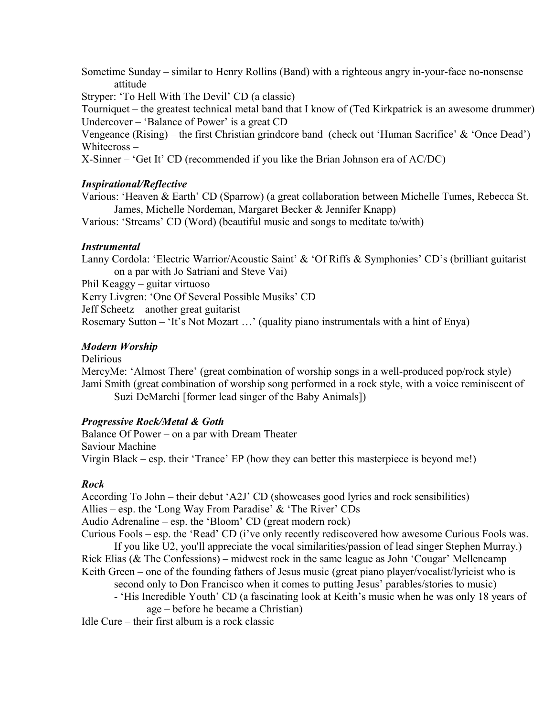Sometime Sunday – similar to Henry Rollins (Band) with a righteous angry in-your-face no-nonsense attitude

Stryper: 'To Hell With The Devil' CD (a classic)

Tourniquet – the greatest technical metal band that I know of (Ted Kirkpatrick is an awesome drummer) Undercover – 'Balance of Power' is a great CD

Vengeance (Rising) – the first Christian grindcore band (check out 'Human Sacrifice' & 'Once Dead') Whitecross –

X-Sinner – 'Get It' CD (recommended if you like the Brian Johnson era of AC/DC)

### *Inspirational/Reflective*

Various: 'Heaven & Earth' CD (Sparrow) (a great collaboration between Michelle Tumes, Rebecca St. James, Michelle Nordeman, Margaret Becker & Jennifer Knapp)

Various: 'Streams' CD (Word) (beautiful music and songs to meditate to/with)

### *Instrumental*

Lanny Cordola: 'Electric Warrior/Acoustic Saint' & 'Of Riffs & Symphonies' CD's (brilliant guitarist on a par with Jo Satriani and Steve Vai)

Phil Keaggy – guitar virtuoso

Kerry Livgren: 'One Of Several Possible Musiks' CD Jeff Scheetz – another great guitarist Rosemary Sutton – 'It's Not Mozart …' (quality piano instrumentals with a hint of Enya)

### *Modern Worship*

Delirious

MercyMe: 'Almost There' (great combination of worship songs in a well-produced pop/rock style) Jami Smith (great combination of worship song performed in a rock style, with a voice reminiscent of Suzi DeMarchi [former lead singer of the Baby Animals])

# *Progressive Rock/Metal & Goth*

Balance Of Power – on a par with Dream Theater Saviour Machine Virgin Black – esp. their 'Trance' EP (how they can better this masterpiece is beyond me!)

# *Rock*

According To John – their debut 'A2J' CD (showcases good lyrics and rock sensibilities) Allies – esp. the 'Long Way From Paradise' & 'The River' CDs

Audio Adrenaline – esp. the 'Bloom' CD (great modern rock)

Curious Fools – esp. the 'Read' CD (i've only recently rediscovered how awesome Curious Fools was. If you like U2, you'll appreciate the vocal similarities/passion of lead singer Stephen Murray.)

Rick Elias (& The Confessions) – midwest rock in the same league as John 'Cougar' Mellencamp Keith Green – one of the founding fathers of Jesus music (great piano player/vocalist/lyricist who is

second only to Don Francisco when it comes to putting Jesus' parables/stories to music)

- 'His Incredible Youth' CD (a fascinating look at Keith's music when he was only 18 years of age – before he became a Christian)

Idle Cure – their first album is a rock classic